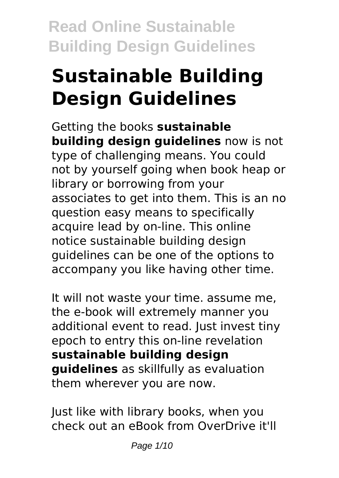# **Sustainable Building Design Guidelines**

Getting the books **sustainable building design guidelines** now is not type of challenging means. You could not by yourself going when book heap or library or borrowing from your associates to get into them. This is an no question easy means to specifically acquire lead by on-line. This online notice sustainable building design guidelines can be one of the options to accompany you like having other time.

It will not waste your time. assume me, the e-book will extremely manner you additional event to read. Just invest tiny epoch to entry this on-line revelation **sustainable building design guidelines** as skillfully as evaluation them wherever you are now.

Just like with library books, when you check out an eBook from OverDrive it'll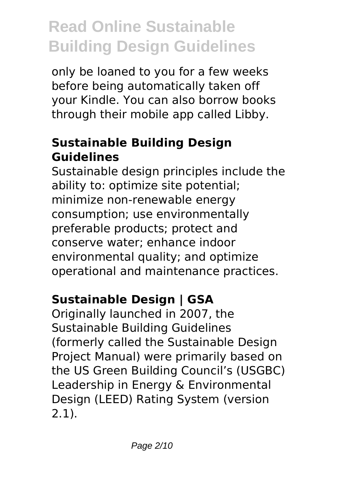only be loaned to you for a few weeks before being automatically taken off your Kindle. You can also borrow books through their mobile app called Libby.

### **Sustainable Building Design Guidelines**

Sustainable design principles include the ability to: optimize site potential; minimize non-renewable energy consumption; use environmentally preferable products; protect and conserve water; enhance indoor environmental quality; and optimize operational and maintenance practices.

# **Sustainable Design | GSA**

Originally launched in 2007, the Sustainable Building Guidelines (formerly called the Sustainable Design Project Manual) were primarily based on the US Green Building Council's (USGBC) Leadership in Energy & Environmental Design (LEED) Rating System (version 2.1).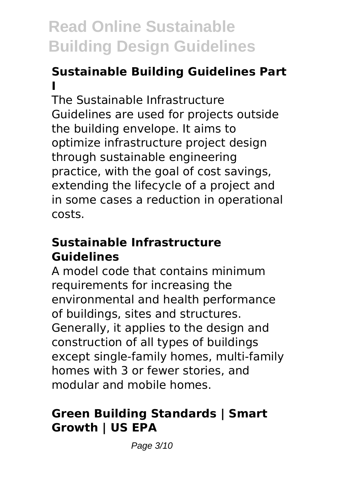# **Sustainable Building Guidelines Part I**

The Sustainable Infrastructure Guidelines are used for projects outside the building envelope. It aims to optimize infrastructure project design through sustainable engineering practice, with the goal of cost savings, extending the lifecycle of a project and in some cases a reduction in operational costs.

#### **Sustainable Infrastructure Guidelines**

A model code that contains minimum requirements for increasing the environmental and health performance of buildings, sites and structures. Generally, it applies to the design and construction of all types of buildings except single-family homes, multi-family homes with 3 or fewer stories, and modular and mobile homes.

# **Green Building Standards | Smart Growth | US EPA**

Page 3/10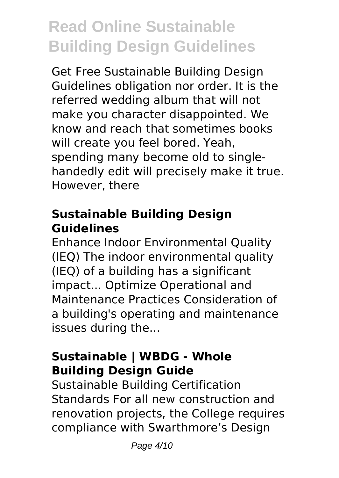Get Free Sustainable Building Design Guidelines obligation nor order. It is the referred wedding album that will not make you character disappointed. We know and reach that sometimes books will create you feel bored. Yeah, spending many become old to singlehandedly edit will precisely make it true. However, there

### **Sustainable Building Design Guidelines**

Enhance Indoor Environmental Quality (IEQ) The indoor environmental quality (IEQ) of a building has a significant impact... Optimize Operational and Maintenance Practices Consideration of a building's operating and maintenance issues during the...

## **Sustainable | WBDG - Whole Building Design Guide**

Sustainable Building Certification Standards For all new construction and renovation projects, the College requires compliance with Swarthmore's Design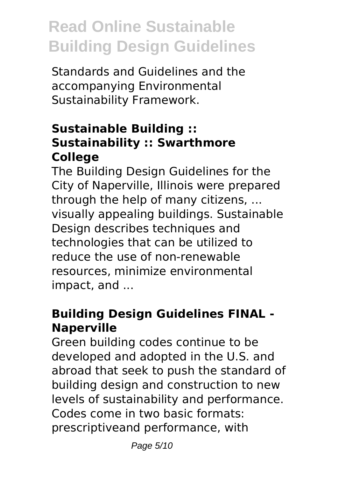Standards and Guidelines and the accompanying Environmental Sustainability Framework.

### **Sustainable Building :: Sustainability :: Swarthmore College**

The Building Design Guidelines for the City of Naperville, Illinois were prepared through the help of many citizens, ... visually appealing buildings. Sustainable Design describes techniques and technologies that can be utilized to reduce the use of non-renewable resources, minimize environmental impact, and ...

## **Building Design Guidelines FINAL - Naperville**

Green building codes continue to be developed and adopted in the U.S. and abroad that seek to push the standard of building design and construction to new levels of sustainability and performance. Codes come in two basic formats: prescriptiveand performance, with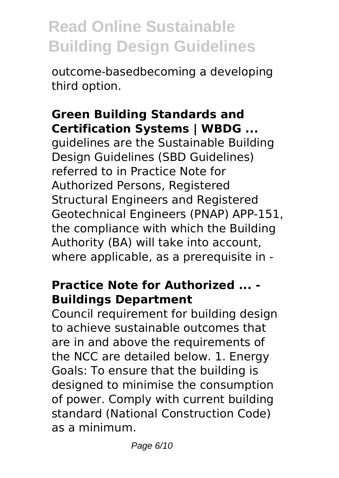outcome-basedbecoming a developing third option.

#### **Green Building Standards and Certification Systems | WBDG ...**

guidelines are the Sustainable Building Design Guidelines (SBD Guidelines) referred to in Practice Note for Authorized Persons, Registered Structural Engineers and Registered Geotechnical Engineers (PNAP) APP-151, the compliance with which the Building Authority (BA) will take into account, where applicable, as a prerequisite in -

#### **Practice Note for Authorized ... - Buildings Department**

Council requirement for building design to achieve sustainable outcomes that are in and above the requirements of the NCC are detailed below. 1. Energy Goals: To ensure that the building is designed to minimise the consumption of power. Comply with current building standard (National Construction Code) as a minimum.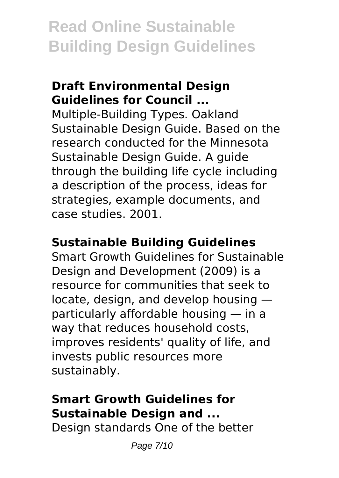#### **Draft Environmental Design Guidelines for Council ...**

Multiple-Building Types. Oakland Sustainable Design Guide. Based on the research conducted for the Minnesota Sustainable Design Guide. A guide through the building life cycle including a description of the process, ideas for strategies, example documents, and case studies. 2001.

#### **Sustainable Building Guidelines**

Smart Growth Guidelines for Sustainable Design and Development (2009) is a resource for communities that seek to locate, design, and develop housing particularly affordable housing — in a way that reduces household costs, improves residents' quality of life, and invests public resources more sustainably.

## **Smart Growth Guidelines for Sustainable Design and ...**

Design standards One of the better

Page 7/10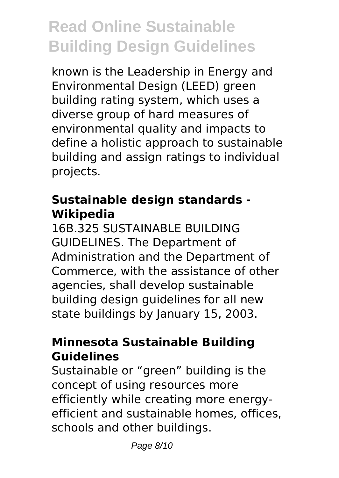known is the Leadership in Energy and Environmental Design (LEED) green building rating system, which uses a diverse group of hard measures of environmental quality and impacts to define a holistic approach to sustainable building and assign ratings to individual projects.

#### **Sustainable design standards - Wikipedia**

16B.325 SUSTAINABLE BUILDING GUIDELINES. The Department of Administration and the Department of Commerce, with the assistance of other agencies, shall develop sustainable building design guidelines for all new state buildings by January 15, 2003.

#### **Minnesota Sustainable Building Guidelines**

Sustainable or "green" building is the concept of using resources more efficiently while creating more energyefficient and sustainable homes, offices, schools and other buildings.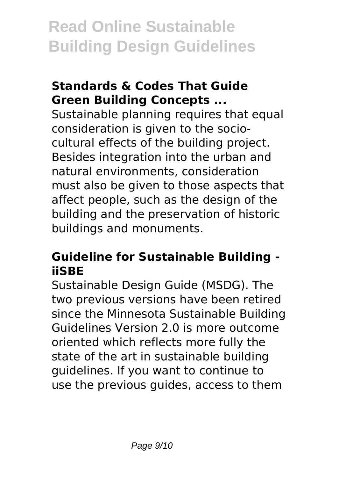#### **Standards & Codes That Guide Green Building Concepts ...**

Sustainable planning requires that equal consideration is given to the sociocultural effects of the building project. Besides integration into the urban and natural environments, consideration must also be given to those aspects that affect people, such as the design of the building and the preservation of historic buildings and monuments.

#### **Guideline for Sustainable Building iiSBE**

Sustainable Design Guide (MSDG). The two previous versions have been retired since the Minnesota Sustainable Building Guidelines Version 2.0 is more outcome oriented which reflects more fully the state of the art in sustainable building guidelines. If you want to continue to use the previous guides, access to them